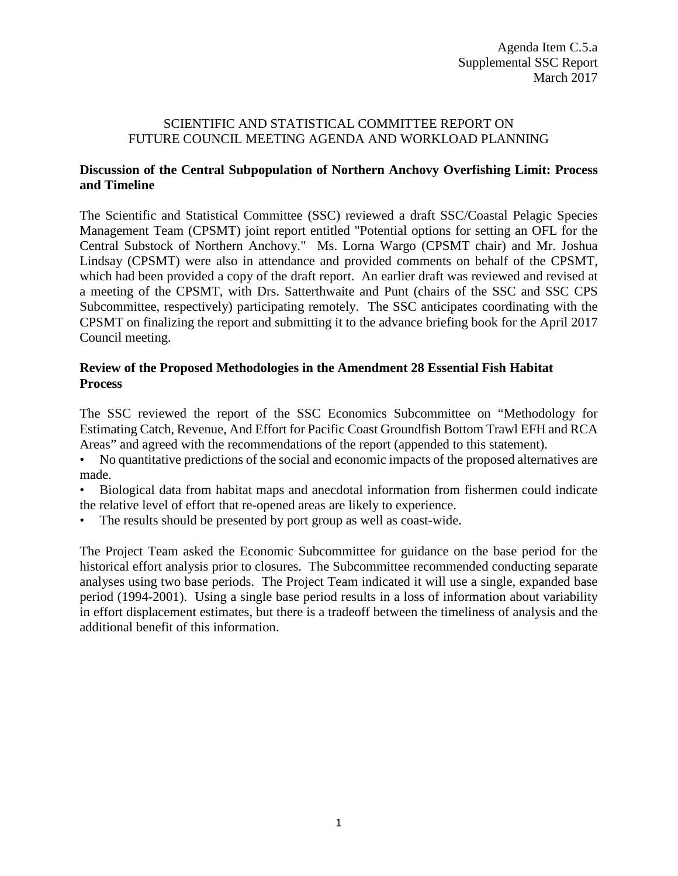#### SCIENTIFIC AND STATISTICAL COMMITTEE REPORT ON FUTURE COUNCIL MEETING AGENDA AND WORKLOAD PLANNING

## **Discussion of the Central Subpopulation of Northern Anchovy Overfishing Limit: Process and Timeline**

The Scientific and Statistical Committee (SSC) reviewed a draft SSC/Coastal Pelagic Species Management Team (CPSMT) joint report entitled "Potential options for setting an OFL for the Central Substock of Northern Anchovy." Ms. Lorna Wargo (CPSMT chair) and Mr. Joshua Lindsay (CPSMT) were also in attendance and provided comments on behalf of the CPSMT, which had been provided a copy of the draft report. An earlier draft was reviewed and revised at a meeting of the CPSMT, with Drs. Satterthwaite and Punt (chairs of the SSC and SSC CPS Subcommittee, respectively) participating remotely. The SSC anticipates coordinating with the CPSMT on finalizing the report and submitting it to the advance briefing book for the April 2017 Council meeting.

## **Review of the Proposed Methodologies in the Amendment 28 Essential Fish Habitat Process**

The SSC reviewed the report of the SSC Economics Subcommittee on "Methodology for Estimating Catch, Revenue, And Effort for Pacific Coast Groundfish Bottom Trawl EFH and RCA Areas" and agreed with the recommendations of the report (appended to this statement).

- No quantitative predictions of the social and economic impacts of the proposed alternatives are made.
- Biological data from habitat maps and anecdotal information from fishermen could indicate the relative level of effort that re-opened areas are likely to experience.
- The results should be presented by port group as well as coast-wide.

The Project Team asked the Economic Subcommittee for guidance on the base period for the historical effort analysis prior to closures. The Subcommittee recommended conducting separate analyses using two base periods. The Project Team indicated it will use a single, expanded base period (1994-2001). Using a single base period results in a loss of information about variability in effort displacement estimates, but there is a tradeoff between the timeliness of analysis and the additional benefit of this information.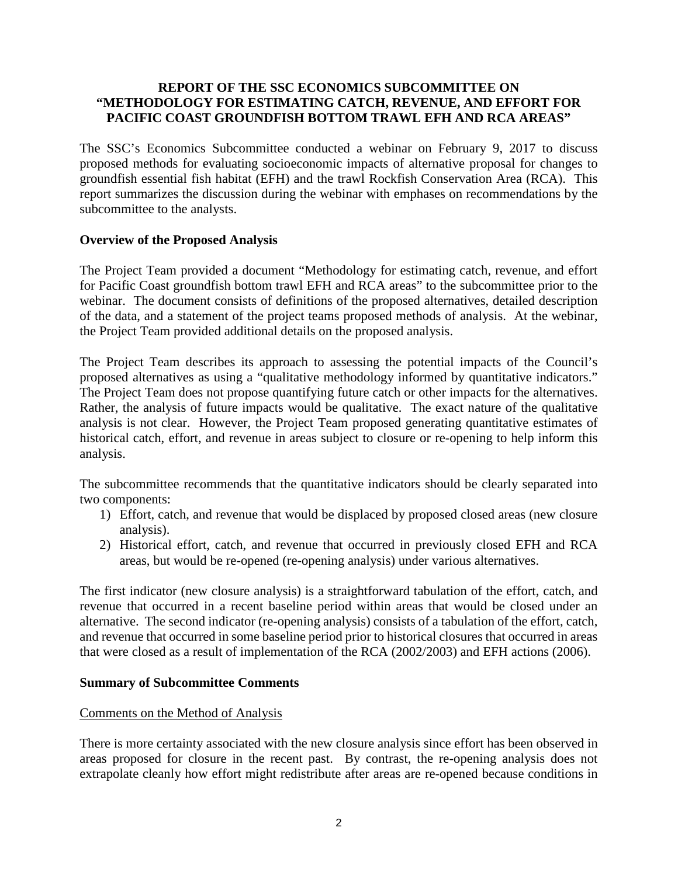## **REPORT OF THE SSC ECONOMICS SUBCOMMITTEE ON "METHODOLOGY FOR ESTIMATING CATCH, REVENUE, AND EFFORT FOR PACIFIC COAST GROUNDFISH BOTTOM TRAWL EFH AND RCA AREAS"**

The SSC's Economics Subcommittee conducted a webinar on February 9, 2017 to discuss proposed methods for evaluating socioeconomic impacts of alternative proposal for changes to groundfish essential fish habitat (EFH) and the trawl Rockfish Conservation Area (RCA). This report summarizes the discussion during the webinar with emphases on recommendations by the subcommittee to the analysts.

## **Overview of the Proposed Analysis**

The Project Team provided a document "Methodology for estimating catch, revenue, and effort for Pacific Coast groundfish bottom trawl EFH and RCA areas" to the subcommittee prior to the webinar. The document consists of definitions of the proposed alternatives, detailed description of the data, and a statement of the project teams proposed methods of analysis. At the webinar, the Project Team provided additional details on the proposed analysis.

The Project Team describes its approach to assessing the potential impacts of the Council's proposed alternatives as using a "qualitative methodology informed by quantitative indicators." The Project Team does not propose quantifying future catch or other impacts for the alternatives. Rather, the analysis of future impacts would be qualitative. The exact nature of the qualitative analysis is not clear. However, the Project Team proposed generating quantitative estimates of historical catch, effort, and revenue in areas subject to closure or re-opening to help inform this analysis.

The subcommittee recommends that the quantitative indicators should be clearly separated into two components:

- 1) Effort, catch, and revenue that would be displaced by proposed closed areas (new closure analysis).
- 2) Historical effort, catch, and revenue that occurred in previously closed EFH and RCA areas, but would be re-opened (re-opening analysis) under various alternatives.

The first indicator (new closure analysis) is a straightforward tabulation of the effort, catch, and revenue that occurred in a recent baseline period within areas that would be closed under an alternative. The second indicator (re-opening analysis) consists of a tabulation of the effort, catch, and revenue that occurred in some baseline period prior to historical closures that occurred in areas that were closed as a result of implementation of the RCA (2002/2003) and EFH actions (2006).

#### **Summary of Subcommittee Comments**

#### Comments on the Method of Analysis

There is more certainty associated with the new closure analysis since effort has been observed in areas proposed for closure in the recent past. By contrast, the re-opening analysis does not extrapolate cleanly how effort might redistribute after areas are re-opened because conditions in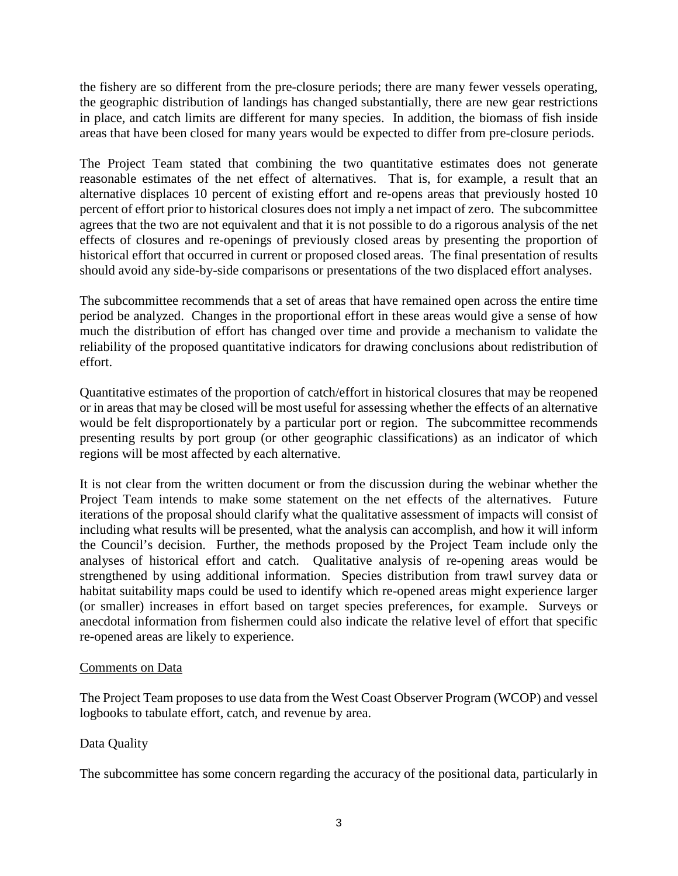the fishery are so different from the pre-closure periods; there are many fewer vessels operating, the geographic distribution of landings has changed substantially, there are new gear restrictions in place, and catch limits are different for many species. In addition, the biomass of fish inside areas that have been closed for many years would be expected to differ from pre-closure periods.

The Project Team stated that combining the two quantitative estimates does not generate reasonable estimates of the net effect of alternatives. That is, for example, a result that an alternative displaces 10 percent of existing effort and re-opens areas that previously hosted 10 percent of effort prior to historical closures does not imply a net impact of zero. The subcommittee agrees that the two are not equivalent and that it is not possible to do a rigorous analysis of the net effects of closures and re-openings of previously closed areas by presenting the proportion of historical effort that occurred in current or proposed closed areas. The final presentation of results should avoid any side-by-side comparisons or presentations of the two displaced effort analyses.

The subcommittee recommends that a set of areas that have remained open across the entire time period be analyzed. Changes in the proportional effort in these areas would give a sense of how much the distribution of effort has changed over time and provide a mechanism to validate the reliability of the proposed quantitative indicators for drawing conclusions about redistribution of effort.

Quantitative estimates of the proportion of catch/effort in historical closures that may be reopened or in areas that may be closed will be most useful for assessing whether the effects of an alternative would be felt disproportionately by a particular port or region. The subcommittee recommends presenting results by port group (or other geographic classifications) as an indicator of which regions will be most affected by each alternative.

It is not clear from the written document or from the discussion during the webinar whether the Project Team intends to make some statement on the net effects of the alternatives. Future iterations of the proposal should clarify what the qualitative assessment of impacts will consist of including what results will be presented, what the analysis can accomplish, and how it will inform the Council's decision. Further, the methods proposed by the Project Team include only the analyses of historical effort and catch. Qualitative analysis of re-opening areas would be strengthened by using additional information. Species distribution from trawl survey data or habitat suitability maps could be used to identify which re-opened areas might experience larger (or smaller) increases in effort based on target species preferences, for example. Surveys or anecdotal information from fishermen could also indicate the relative level of effort that specific re-opened areas are likely to experience.

#### Comments on Data

The Project Team proposes to use data from the West Coast Observer Program (WCOP) and vessel logbooks to tabulate effort, catch, and revenue by area.

# Data Quality

The subcommittee has some concern regarding the accuracy of the positional data, particularly in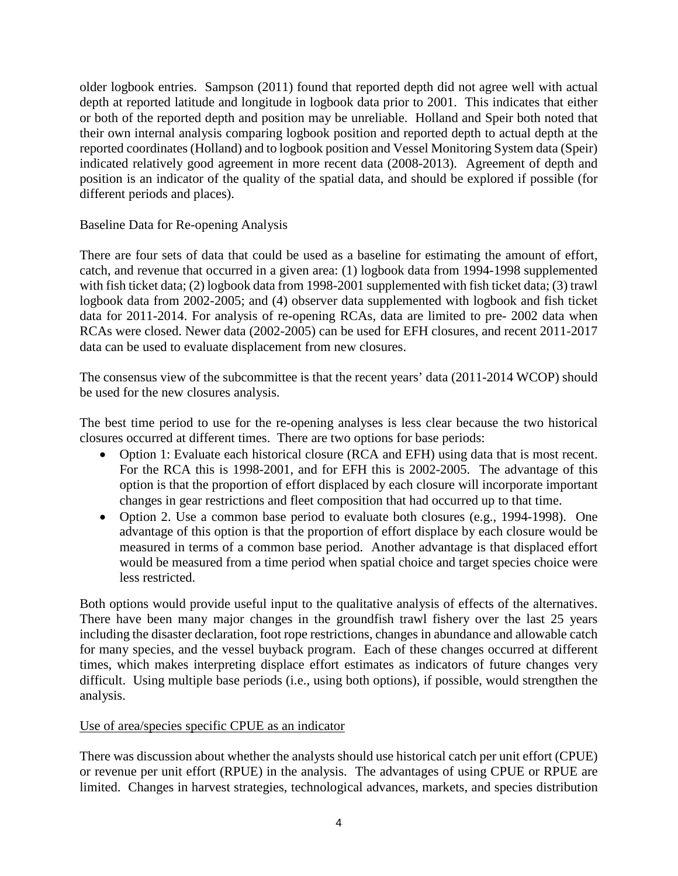older logbook entries. Sampson (2011) found that reported depth did not agree well with actual depth at reported latitude and longitude in logbook data prior to 2001. This indicates that either or both of the reported depth and position may be unreliable. Holland and Speir both noted that their own internal analysis comparing logbook position and reported depth to actual depth at the reported coordinates (Holland) and to logbook position and Vessel Monitoring System data (Speir) indicated relatively good agreement in more recent data (2008-2013). Agreement of depth and position is an indicator of the quality of the spatial data, and should be explored if possible (for different periods and places).

# Baseline Data for Re-opening Analysis

There are four sets of data that could be used as a baseline for estimating the amount of effort, catch, and revenue that occurred in a given area: (1) logbook data from 1994-1998 supplemented with fish ticket data; (2) logbook data from 1998-2001 supplemented with fish ticket data; (3) trawl logbook data from 2002-2005; and (4) observer data supplemented with logbook and fish ticket data for 2011-2014. For analysis of re-opening RCAs, data are limited to pre- 2002 data when RCAs were closed. Newer data (2002-2005) can be used for EFH closures, and recent 2011-2017 data can be used to evaluate displacement from new closures.

The consensus view of the subcommittee is that the recent years' data (2011-2014 WCOP) should be used for the new closures analysis.

The best time period to use for the re-opening analyses is less clear because the two historical closures occurred at different times. There are two options for base periods:

- Option 1: Evaluate each historical closure (RCA and EFH) using data that is most recent. For the RCA this is 1998-2001, and for EFH this is 2002-2005. The advantage of this option is that the proportion of effort displaced by each closure will incorporate important changes in gear restrictions and fleet composition that had occurred up to that time.
- Option 2. Use a common base period to evaluate both closures (e.g., 1994-1998). One advantage of this option is that the proportion of effort displace by each closure would be measured in terms of a common base period. Another advantage is that displaced effort would be measured from a time period when spatial choice and target species choice were less restricted.

Both options would provide useful input to the qualitative analysis of effects of the alternatives. There have been many major changes in the groundfish trawl fishery over the last 25 years including the disaster declaration, foot rope restrictions, changes in abundance and allowable catch for many species, and the vessel buyback program. Each of these changes occurred at different times, which makes interpreting displace effort estimates as indicators of future changes very difficult. Using multiple base periods (i.e., using both options), if possible, would strengthen the analysis.

#### Use of area/species specific CPUE as an indicator

There was discussion about whether the analysts should use historical catch per unit effort (CPUE) or revenue per unit effort (RPUE) in the analysis. The advantages of using CPUE or RPUE are limited. Changes in harvest strategies, technological advances, markets, and species distribution